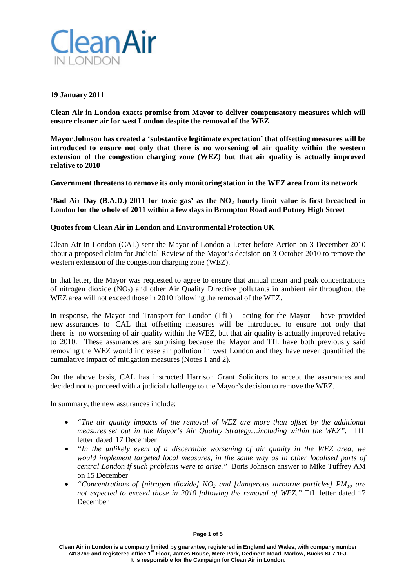

# **19 January 2011**

**Clean Air in London exacts promise from Mayor to deliver compensatory measures which will ensure cleaner air for west London despite the removal of the WEZ**

**Mayor Johnson has created a 'substantive legitimate expectation' that offsetting measures will be introduced to ensure not only that there is no worsening of air quality within the western extension of the congestion charging zone (WEZ) but that air quality is actually improved relative to 2010**

**Government threatens to remove its only monitoring station in the WEZ area from its network**

**'Bad Air Day (B.A.D.) 2011 for toxic gas' as the NO2 hourly limit value is first breached in London for the whole of 2011 within a few days in Brompton Road and Putney High Street**

# **Quotes from Clean Air in London and Environmental Protection UK**

Clean Air in London (CAL) sent the Mayor of London a Letter before Action on 3 December 2010 about a proposed claim for Judicial Review of the Mayor's decision on 3 October 2010 to remove the western extension of the congestion charging zone (WEZ).

In that letter, the Mayor was requested to agree to ensure that annual mean and peak concentrations of nitrogen dioxide  $(NO<sub>2</sub>)$  and other Air Quality Directive pollutants in ambient air throughout the WEZ area will not exceed those in 2010 following the removal of the WEZ.

In response, the Mayor and Transport for London (TfL) – acting for the Mayor – have provided new assurances to CAL that offsetting measures will be introduced to ensure not only that there is no worsening of air quality within the WEZ, but that air quality is actually improved relative to 2010. These assurances are surprising because the Mayor and TfL have both previously said removing the WEZ would increase air pollution in west London and they have never quantified the cumulative impact of mitigation measures (Notes 1 and 2).

On the above basis, CAL has instructed Harrison Grant Solicitors to accept the assurances and decided not to proceed with a judicial challenge to the Mayor's decision to remove the WEZ.

In summary, the new assurances include:

- *"The air quality impacts of the removal of WEZ are more than offset by the additional measures set out in the Mayor's Air Quality Strategy…including within the WEZ".* TfL letter dated 17 December
- *"In the unlikely event of a discernible worsening of air quality in the WEZ area, we would implement targeted local measures, in the same way as in other localised parts of central London if such problems were to arise."* Boris Johnson answer to Mike Tuffrey AM on 15 December
- *"Concentrations of [nitrogen dioxide] NO2 and [dangerous airborne particles] PM10 are not expected to exceed those in 2010 following the removal of WEZ."* TfL letter dated 17 December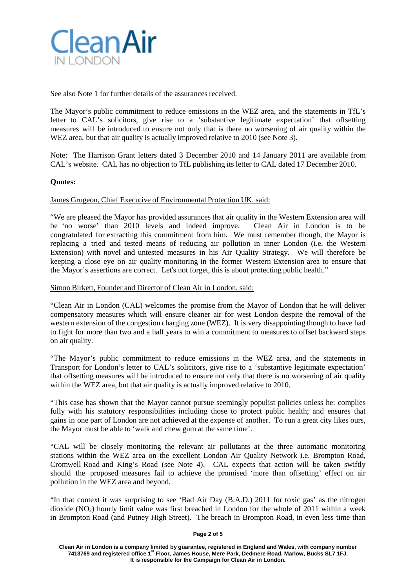

See also Note 1 for further details of the assurances received.

The Mayor's public commitment to reduce emissions in the WEZ area, and the statements in TfL's letter to CAL's solicitors, give rise to a 'substantive legitimate expectation' that offsetting measures will be introduced to ensure not only that is there no worsening of air quality within the WEZ area, but that air quality is actually improved relative to 2010 (see Note 3).

Note: The Harrison Grant letters dated 3 December 2010 and 14 January 2011 are available from CAL's website. CAL has no objection to TfL publishing its letter to CAL dated 17 December 2010.

# **Quotes:**

### James Grugeon, Chief Executive of Environmental Protection UK, said:

"We are pleased the Mayor has provided assurances that air quality in the Western Extension area will be 'no worse' than 2010 levels and indeed improve. Clean Air in London is to be be 'no worse' than  $2010$  levels and indeed improve. congratulated for extracting this commitment from him. We must remember though, the Mayor is replacing a tried and tested means of reducing air pollution in inner London (i.e. the Western Extension) with novel and untested measures in his Air Quality Strategy. We will therefore be keeping a close eye on air quality monitoring in the former Western Extension area to ensure that the Mayor's assertions are correct. Let's not forget, this is about protecting public health."

## Simon Birkett, Founder and Director of Clean Air in London, said:

"Clean Air in London (CAL) welcomes the promise from the Mayor of London that he will deliver compensatory measures which will ensure cleaner air for west London despite the removal of the western extension of the congestion charging zone (WEZ). It is very disappointing though to have had to fight for more than two and a half years to win a commitment to measures to offset backward steps on air quality.

"The Mayor's public commitment to reduce emissions in the WEZ area, and the statements in Transport for London's letter to CAL's solicitors, give rise to a 'substantive legitimate expectation' that offsetting measures will be introduced to ensure not only that there is no worsening of air quality within the WEZ area, but that air quality is actually improved relative to 2010.

"This case has shown that the Mayor cannot pursue seemingly populist policies unless he: complies fully with his statutory responsibilities including those to protect public health; and ensures that gains in one part of London are not achieved at the expense of another. To run a great city likes ours, the Mayor must be able to 'walk and chew gum at the same time'.

"CAL will be closely monitoring the relevant air pollutants at the three automatic monitoring stations within the WEZ area on the excellent London Air Quality Network i.e. Brompton Road, Cromwell Road and King's Road (see Note 4). CAL expects that action will be taken swiftly should the proposed measures fail to achieve the promised 'more than offsetting' effect on air pollution in the WEZ area and beyond.

"In that context it was surprising to see 'Bad Air Day (B.A.D.) 2011 for toxic gas' as the nitrogen dioxide ( $NO<sub>2</sub>$ ) hourly limit value was first breached in London for the whole of 2011 within a week in Brompton Road (and Putney High Street). The breach in Brompton Road, in even less time than

#### **Page 2 of 5**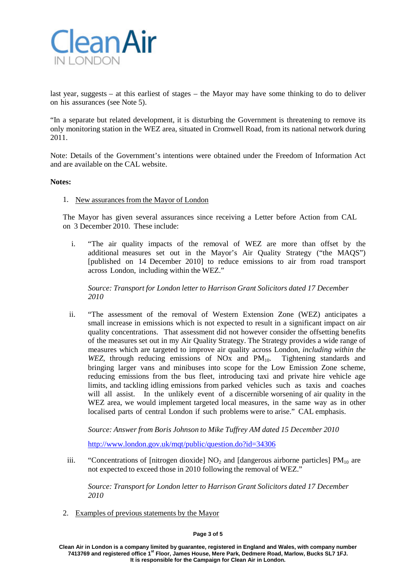

last year, suggests – at this earliest of stages – the Mayor may have some thinking to do to deliver on his assurances (see Note 5).

"In a separate but related development, it is disturbing the Government is threatening to remove its only monitoring station in the WEZ area, situated in Cromwell Road, from its national network during 2011.

Note: Details of the Government's intentions were obtained under the Freedom of Information Act and are available on the CAL website.

### **Notes:**

### 1. New assurances from the Mayor of London

The Mayor has given several assurances since receiving a Letter before Action from CAL on 3 December 2010. These include:

i. "The air quality impacts of the removal of WEZ are more than offset by the additional measures set out in the Mayor's Air Quality Strategy ("the MAQS") [published on 14 December 2010] to reduce emissions to air from road transport across London, including within the WEZ."

*Source: Transport for London letter to Harrison Grant Solicitors dated 17 December 2010*

ii. "The assessment of the removal of Western Extension Zone (WEZ) anticipates a small increase in emissions which is not expected to result in a significant impact on air quality concentrations. That assessment did not however consider the offsetting benefits of the measures set out in my Air Quality Strategy. The Strategy provides a wide range of measures which are targeted to improve air quality across London, *including within the WEZ*, through reducing emissions of NO<sub>x</sub> and  $PM_{10}$ . Tightening standards and bringing larger vans and minibuses into scope for the Low Emission Zone scheme, reducing emissions from the bus fleet, introducing taxi and private hire vehicle age limits, and tackling idling emissions from parked vehicles such as taxis and coaches will all assist. In the unlikely event of a discernible worsening of air quality in the WEZ area, we would implement targeted local measures, in the same way as in other localised parts of central London if such problems were to arise." CAL emphasis.

*Source: Answer from Boris Johnson to Mike Tuffrey AM dated 15 December 2010*

<http://www.london.gov.uk/mqt/public/question.do?id=34306>

iii. "Concentrations of [nitrogen dioxide]  $NO<sub>2</sub>$  and [dangerous airborne particles]  $PM<sub>10</sub>$  are not expected to exceed those in 2010 following the removal of WEZ."

*Source: Transport for London letter to Harrison Grant Solicitors dated 17 December 2010*

2. Examples of previous statements by the Mayor

### **Page 3 of 5**

**Clean Air in London is a company limited by guarantee, registered in England and Wales, with company number 7413769 and registered office 1st Floor, James House, Mere Park, Dedmere Road, Marlow, Bucks SL7 1FJ. It is responsible for the Campaign for Clean Air in London.**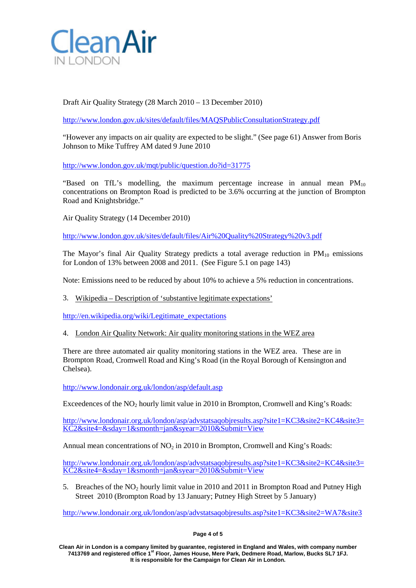

Draft Air Quality Strategy (28 March 2010 – 13 December 2010)

<http://www.london.gov.uk/sites/default/files/MAQSPublicConsultationStrategy.pdf>

"However any impacts on air quality are expected to be slight." (See page 61) Answer from Boris Johnson to Mike Tuffrey AM dated 9 June 2010

<http://www.london.gov.uk/mqt/public/question.do?id=31775>

"Based on TfL's modelling, the maximum percentage increase in annual mean  $PM_{10}$ concentrations on Brompton Road is predicted to be 3.6% occurring at the junction of Brompton Road and Knightsbridge."

Air Quality Strategy (14 December 2010)

<http://www.london.gov.uk/sites/default/files/Air%20Quality%20Strategy%20v3.pdf>

The Mayor's final Air Quality Strategy predicts a total average reduction in  $PM_{10}$  emissions for London of 13% between 2008 and 2011. (See Figure 5.1 on page 143)

Note: Emissions need to be reduced by about 10% to achieve a 5% reduction in concentrations.

3. Wikipedia – Description of 'substantive legitimate expectations'

[http://en.wikipedia.org/wiki/Legitimate\\_expectations](http://en.wikipedia.org/wiki/Legitimate_expectations)

4. London Air Quality Network: Air quality monitoring stations in the WEZ area

There are three automated air quality monitoring stations in the WEZ area. These are in Brompton Road, Cromwell Road and King's Road (in the Royal Borough of Kensington and Chelsea).

<http://www.londonair.org.uk/london/asp/default.asp>

Exceedences of the  $NO<sub>2</sub>$  hourly limit value in 2010 in Brompton, Cromwell and King's Roads:

[http://www.londonair.org.uk/london/asp/advstatsaqobjresults.asp?site1=KC3&site2=KC4&site3=](http://www.londonair.org.uk/london/asp/advstatsaqobjresults.asp?site1=KC3&site2=KC4&site3=KC2&site4=&sday=1&smonth=jan&syear=2010&Submit=View) [KC2&site4=&sday=1&smonth=jan&syear=2010&Submit=View](http://www.londonair.org.uk/london/asp/advstatsaqobjresults.asp?site1=KC3&site2=KC4&site3=KC2&site4=&sday=1&smonth=jan&syear=2010&Submit=View)

Annual mean concentrations of  $NO<sub>2</sub>$  in 2010 in Brompton, Cromwell and King's Roads:

[http://www.londonair.org.uk/london/asp/advstatsaqobjresults.asp?site1=KC3&site2=KC4&site3=](http://www.londonair.org.uk/london/asp/advstatsaqobjresults.asp?site1=KC3&site2=KC4&site3=KC2&site4=&sday=1&smonth=jan&syear=2010&Submit=View) [KC2&site4=&sday=1&smonth=jan&syear=2010&Submit=View](http://www.londonair.org.uk/london/asp/advstatsaqobjresults.asp?site1=KC3&site2=KC4&site3=KC2&site4=&sday=1&smonth=jan&syear=2010&Submit=View)

5. Breaches of the NO<sub>2</sub> hourly limit value in 2010 and 2011 in Brompton Road and Putney High Street 2010 (Brompton Road by 13 January; Putney High Street by 5 January)

[http://www.londonair.org.uk/london/asp/advstatsaqobjresults.asp?site1=KC3&site2=WA7&site3](http://www.londonair.org.uk/london/asp/advstatsaqobjresults.asp?site1=KC3&site2=WA7&site3=&site4=&sday=1&smonth=jan&syear=2010&Submit=View)

## **Page 4 of 5**

**Clean Air in London is a company limited by guarantee, registered in England and Wales, with company number 7413769 and registered office 1st Floor, James House, Mere Park, Dedmere Road, Marlow, Bucks SL7 1FJ. It is responsible for the Campaign for Clean Air in London.**